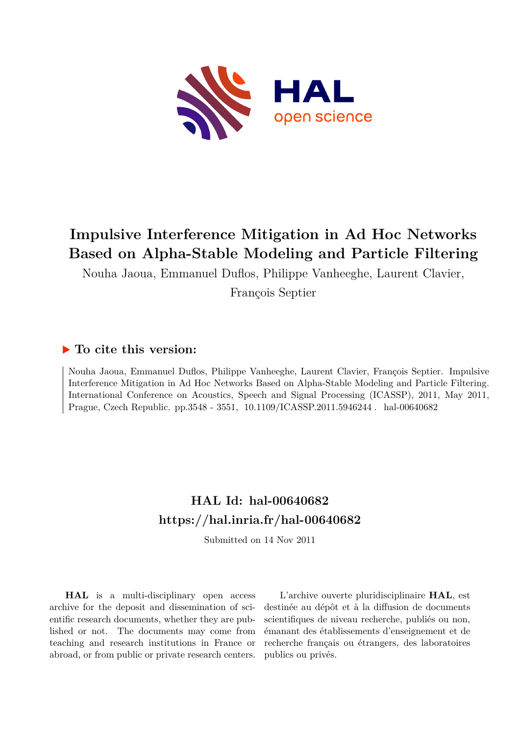

# **Impulsive Interference Mitigation in Ad Hoc Networks Based on Alpha-Stable Modeling and Particle Filtering**

Nouha Jaoua, Emmanuel Duflos, Philippe Vanheeghe, Laurent Clavier,

François Septier

## **To cite this version:**

Nouha Jaoua, Emmanuel Duflos, Philippe Vanheeghe, Laurent Clavier, François Septier. Impulsive Interference Mitigation in Ad Hoc Networks Based on Alpha-Stable Modeling and Particle Filtering. International Conference on Acoustics, Speech and Signal Processing (ICASSP), 2011, May 2011, Prague, Czech Republic. pp.3548 - 3551, 10.1109/ICASSP.2011.5946244 . hal-00640682

## **HAL Id: hal-00640682 <https://hal.inria.fr/hal-00640682>**

Submitted on 14 Nov 2011

**HAL** is a multi-disciplinary open access archive for the deposit and dissemination of scientific research documents, whether they are published or not. The documents may come from teaching and research institutions in France or abroad, or from public or private research centers.

L'archive ouverte pluridisciplinaire **HAL**, est destinée au dépôt et à la diffusion de documents scientifiques de niveau recherche, publiés ou non, émanant des établissements d'enseignement et de recherche français ou étrangers, des laboratoires publics ou privés.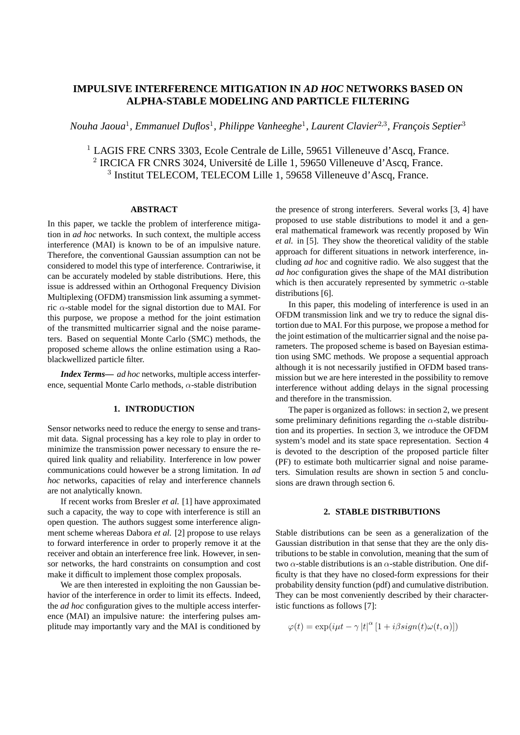### **IMPULSIVE INTERFERENCE MITIGATION IN** *AD HOC* **NETWORKS BASED ON ALPHA-STABLE MODELING AND PARTICLE FILTERING**

*Nouha Jaoua*<sup>1</sup> *, Emmanuel Duflos*<sup>1</sup> *, Philippe Vanheeghe*<sup>1</sup> *, Laurent Clavier*<sup>2</sup>*,*<sup>3</sup> *, Franc¸ois Septier*<sup>3</sup>

<sup>1</sup> LAGIS FRE CNRS 3303, Ecole Centrale de Lille, 59651 Villeneuve d'Ascq, France. <sup>2</sup> IRCICA FR CNRS 3024, Université de Lille 1, 59650 Villeneuve d'Ascq, France. 3 Institut TELECOM, TELECOM Lille 1, 59658 Villeneuve d'Ascq, France.

#### **ABSTRACT**

In this paper, we tackle the problem of interference mitigation in *ad hoc* networks. In such context, the multiple access interference (MAI) is known to be of an impulsive nature. Therefore, the conventional Gaussian assumption can not be considered to model this type of interference. Contrariwise, it can be accurately modeled by stable distributions. Here, this issue is addressed within an Orthogonal Frequency Division Multiplexing (OFDM) transmission link assuming a symmetric  $\alpha$ -stable model for the signal distortion due to MAI. For this purpose, we propose a method for the joint estimation of the transmitted multicarrier signal and the noise parameters. Based on sequential Monte Carlo (SMC) methods, the proposed scheme allows the online estimation using a Raoblackwellized particle filter.

*Index Terms***—** *ad hoc* networks, multiple access interference, sequential Monte Carlo methods,  $\alpha$ -stable distribution

#### **1. INTRODUCTION**

Sensor networks need to reduce the energy to sense and transmit data. Signal processing has a key role to play in order to minimize the transmission power necessary to ensure the required link quality and reliability. Interference in low power communications could however be a strong limitation. In *ad hoc* networks, capacities of relay and interference channels are not analytically known.

If recent works from Bresler *et al.* [1] have approximated such a capacity, the way to cope with interference is still an open question. The authors suggest some interference alignment scheme whereas Dabora *et al.* [2] propose to use relays to forward interference in order to properly remove it at the receiver and obtain an interference free link. However, in sensor networks, the hard constraints on consumption and cost make it difficult to implement those complex proposals.

We are then interested in exploiting the non Gaussian behavior of the interference in order to limit its effects. Indeed, the *ad hoc* configuration gives to the multiple access interference (MAI) an impulsive nature: the interfering pulses amplitude may importantly vary and the MAI is conditioned by the presence of strong interferers. Several works [3, 4] have proposed to use stable distributions to model it and a general mathematical framework was recently proposed by Win *et al.* in [5]. They show the theoretical validity of the stable approach for different situations in network interference, including *ad hoc* and cognitive radio. We also suggest that the *ad hoc* configuration gives the shape of the MAI distribution which is then accurately represented by symmetric  $\alpha$ -stable distributions [6].

In this paper, this modeling of interference is used in an OFDM transmission link and we try to reduce the signal distortion due to MAI. For this purpose, we propose a method for the joint estimation of the multicarrier signal and the noise parameters. The proposed scheme is based on Bayesian estimation using SMC methods. We propose a sequential approach although it is not necessarily justified in OFDM based transmission but we are here interested in the possibility to remove interference without adding delays in the signal processing and therefore in the transmission.

The paper is organized as follows: in section 2, we present some preliminary definitions regarding the  $\alpha$ -stable distribution and its properties. In section 3, we introduce the OFDM system's model and its state space representation. Section 4 is devoted to the description of the proposed particle filter (PF) to estimate both multicarrier signal and noise parameters. Simulation results are shown in section 5 and conclusions are drawn through section 6.

#### **2. STABLE DISTRIBUTIONS**

Stable distributions can be seen as a generalization of the Gaussian distribution in that sense that they are the only distributions to be stable in convolution, meaning that the sum of two  $\alpha$ -stable distributions is an  $\alpha$ -stable distribution. One difficulty is that they have no closed-form expressions for their probability density function (pdf) and cumulative distribution. They can be most conveniently described by their characteristic functions as follows [7]:

$$
\varphi(t) = \exp(i\mu t - \gamma |t|^{\alpha} [1 + i\beta sign(t)\omega(t,\alpha)]
$$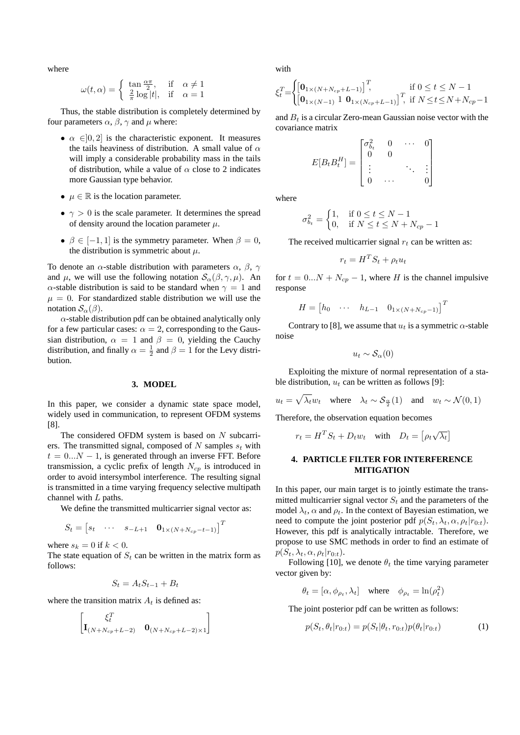where

$$
\omega(t,\alpha)=\left\{\begin{array}{ll} \tan\frac{\alpha\pi}{2},&\text{if}\quad\alpha\neq1\\ \frac{2}{\pi}\log|t|,&\text{if}\quad\alpha=1\end{array}\right.
$$

Thus, the stable distribution is completely determined by four parameters  $\alpha$ ,  $\beta$ ,  $\gamma$  and  $\mu$  where:

- $\alpha \in ]0,2]$  is the characteristic exponent. It measures the tails heaviness of distribution. A small value of  $\alpha$ will imply a considerable probability mass in the tails of distribution, while a value of  $\alpha$  close to 2 indicates more Gaussian type behavior.
- $\mu \in \mathbb{R}$  is the location parameter.
- $\gamma > 0$  is the scale parameter. It determines the spread of density around the location parameter  $\mu$ .
- $\beta \in [-1, 1]$  is the symmetry parameter. When  $\beta = 0$ , the distribution is symmetric about  $\mu$ .

To denote an  $\alpha$ -stable distribution with parameters  $\alpha$ ,  $\beta$ ,  $\gamma$ and  $\mu$ , we will use the following notation  $\mathcal{S}_{\alpha}(\beta, \gamma, \mu)$ . An  $\alpha$ -stable distribution is said to be standard when  $\gamma = 1$  and  $\mu = 0$ . For standardized stable distribution we will use the notation  $\mathcal{S}_{\alpha}(\beta)$ .

 $\alpha$ -stable distribution pdf can be obtained analytically only for a few particular cases:  $\alpha = 2$ , corresponding to the Gaussian distribution,  $\alpha = 1$  and  $\beta = 0$ , yielding the Cauchy distribution, and finally  $\alpha = \frac{1}{2}$  and  $\beta = 1$  for the Levy distribution.

#### **3. MODEL**

In this paper, we consider a dynamic state space model, widely used in communication, to represent OFDM systems [8].

The considered OFDM system is based on  $N$  subcarriers. The transmitted signal, composed of N samples  $s_t$  with  $t = 0...N - 1$ , is generated through an inverse FFT. Before transmission, a cyclic prefix of length  $N_{cp}$  is introduced in order to avoid intersymbol interference. The resulting signal is transmitted in a time varying frequency selective multipath channel with L paths.

We define the transmitted multicarrier signal vector as:

$$
S_t = \begin{bmatrix} s_t & \cdots & s_{-L+1} & \mathbf{0}_{1 \times (N+N_{cp}-t-1)} \end{bmatrix}^T
$$

where  $s_k = 0$  if  $k < 0$ .

The state equation of  $S_t$  can be written in the matrix form as follows:

$$
S_t = A_t S_{t-1} + B_t
$$

where the transition matrix  $A_t$  is defined as:

$$
\begin{bmatrix} \xi_t^T \\ \mathbf{I}_{(N+N_{cp}+L-2)} & \mathbf{0}_{(N+N_{cp}+L-2)\times 1} \end{bmatrix}
$$

with

$$
\xi_t^T = \begin{cases} \begin{bmatrix} \mathbf{0}_{1 \times (N+N_{cp}+L-1)} \end{bmatrix}^T, & \text{if } 0 \le t \le N-1\\ \begin{bmatrix} \mathbf{0}_{1 \times (N-1)} & 1 & \mathbf{0}_{1 \times (N_{cp}+L-1)} \end{bmatrix}^T, & \text{if } N \le t \le N+N_{cp}-1 \end{bmatrix} \end{cases}
$$

and  $B_t$  is a circular Zero-mean Gaussian noise vector with the covariance matrix

$$
E[B_t B_t^H] = \begin{bmatrix} \sigma_{b_t}^2 & 0 & \cdots & 0 \\ 0 & 0 & & \\ \vdots & & \ddots & \vdots \\ 0 & \cdots & & 0 \end{bmatrix}
$$

where

$$
\sigma_{b_t}^2 = \begin{cases} 1, & \text{if } 0 \le t \le N - 1 \\ 0, & \text{if } N \le t \le N + N_{cp} - 1 \end{cases}
$$

The received multicarrier signal  $r_t$  can be written as:

$$
r_t = H^T S_t + \rho_t u_t
$$

for  $t = 0...N + N_{cp} - 1$ , where H is the channel impulsive response

$$
H = \begin{bmatrix} h_0 & \cdots & h_{L-1} & 0_{1 \times (N+N_{cp}-1)} \end{bmatrix}^T
$$

Contrary to [8], we assume that  $u_t$  is a symmetric  $\alpha$ -stable noise

$$
u_t \sim \mathcal{S}_{\alpha}(0)
$$

Exploiting the mixture of normal representation of a stable distribution,  $u_t$  can be written as follows [9]:

$$
u_t = \sqrt{\lambda_t} w_t \quad \text{where} \quad \lambda_t \sim \mathcal{S}_{\frac{\alpha}{2}}(1) \quad \text{and} \quad w_t \sim \mathcal{N}(0, 1)
$$

Therefore, the observation equation becomes

$$
r_t = H^T S_t + D_t w_t \quad \text{with} \quad D_t = \left[ \rho_t \sqrt{\lambda_t} \right]
$$

#### **4. PARTICLE FILTER FOR INTERFERENCE MITIGATION**

In this paper, our main target is to jointly estimate the transmitted multicarrier signal vector  $S_t$  and the parameters of the model  $\lambda_t$ ,  $\alpha$  and  $\rho_t$ . In the context of Bayesian estimation, we need to compute the joint posterior pdf  $p(S_t, \lambda_t, \alpha, \rho_t | r_{0:t}).$ However, this pdf is analytically intractable. Therefore, we propose to use SMC methods in order to find an estimate of  $p(S_t, \lambda_t, \alpha, \rho_t | r_{0:t}).$ 

Following [10], we denote  $\theta_t$  the time varying parameter vector given by:

$$
\theta_t = [\alpha, \phi_{\rho_t}, \lambda_t]
$$
 where  $\phi_{\rho_t} = \ln(\rho_t^2)$ 

The joint posterior pdf can be written as follows:

$$
p(S_t, \theta_t | r_{0:t}) = p(S_t | \theta_t, r_{0:t}) p(\theta_t | r_{0:t})
$$
\n(1)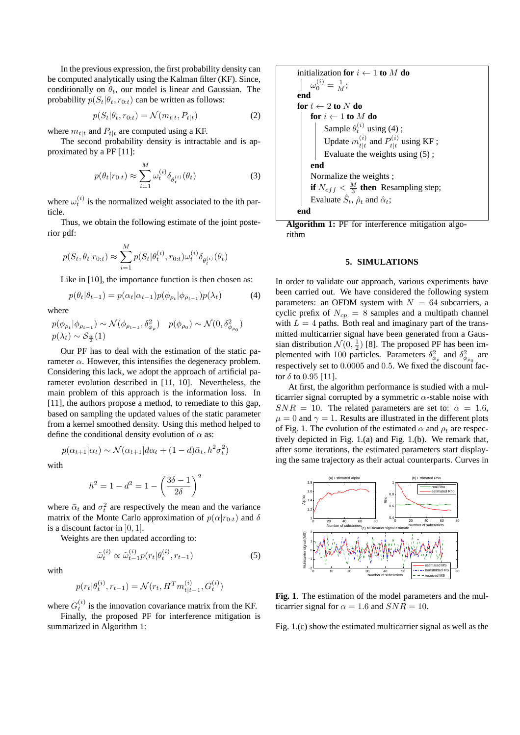In the previous expression, the first probability density can be computed analytically using the Kalman filter (KF). Since, conditionally on  $\theta_t$ , our model is linear and Gaussian. The probability  $p(S_t | \theta_t, r_{0:t})$  can be written as follows:

$$
p(S_t | \theta_t, r_{0:t}) = \mathcal{N}(m_{t|t}, P_{t|t})
$$
\n<sup>(2)</sup>

where  $m_{t|t}$  and  $P_{t|t}$  are computed using a KF.

The second probability density is intractable and is approximated by a PF [11]:

$$
p(\theta_t|r_{0:t}) \approx \sum_{i=1}^{M} \omega_t^{(i)} \delta_{\theta_t^{(i)}}(\theta_t)
$$
 (3)

where  $\omega_t^{(i)}$  is the normalized weight associated to the ith particle.

Thus, we obtain the following estimate of the joint posterior pdf:

$$
p(S_t, \theta_t | r_{0:t}) \approx \sum_{i=1}^{M} p(S_t | \theta_t^{(i)}, r_{0:t}) \omega_t^{(i)} \delta_{\theta_t^{(i)}}(\theta_t)
$$

Like in [10], the importance function is then chosen as:

$$
p(\theta_t|\theta_{t-1}) = p(\alpha_t|\alpha_{t-1})p(\phi_{\rho_t}|\phi_{\rho_{t-1}})p(\lambda_t)
$$
 (4)

where

$$
\begin{array}{ll} p(\phi_{\rho_t}|\phi_{\rho_{t-1}}) \sim \mathcal{N}(\phi_{\rho_{t-1}}, \delta_{\phi_{\rho}}^2) & p(\phi_{\rho_0}) \sim \mathcal{N}(0, \delta_{\phi_{\rho_0}}^2) \\ p(\lambda_t) \sim \mathcal{S}_{\frac{\alpha}{2}}(1) & \end{array}
$$

Our PF has to deal with the estimation of the static parameter  $\alpha$ . However, this intensifies the degeneracy problem. Considering this lack, we adopt the approach of artificial parameter evolution described in [11, 10]. Nevertheless, the main problem of this approach is the information loss. In [11], the authors propose a method, to remediate to this gap, based on sampling the updated values of the static parameter from a kernel smoothed density. Using this method helped to define the conditional density evolution of  $\alpha$  as:

$$
p(\alpha_{t+1}|\alpha_t) \sim \mathcal{N}(\alpha_{t+1}|d\alpha_t + (1-d)\bar{\alpha}_t, h^2 \sigma_t^2)
$$

with

$$
h^2=1-d^2=1-\left(\frac{3\delta-1}{2\delta}\right)^2
$$

where  $\bar{\alpha}_t$  and  $\sigma_t^2$  are respectively the mean and the variance matrix of the Monte Carlo approximation of  $p(\alpha|r_{0:t})$  and  $\delta$ is a discount factor in  $[0, 1]$ .

Weights are then updated according to:

$$
\tilde{\omega}_t^{(i)} \propto \tilde{\omega}_{t-1}^{(i)} p(r_t | \theta_t^{(i)}, r_{t-1}) \tag{5}
$$

with

$$
p(r_t | \theta_t^{(i)}, r_{t-1}) = \mathcal{N}(r_t, H^T m_{t|t-1}^{(i)}, G_t^{(i)})
$$

where  $G_t^{(i)}$  is the innovation covariance matrix from the KF.

Finally, the proposed PF for interference mitigation is summarized in Algorithm 1:

initialization for 
$$
i \leftarrow 1
$$
 to  $M$  do

\n $\begin{aligned}\n &\omega_0^{(i)} = \frac{1}{M}; \\
&\text{end} \\
&\text{for } i \leftarrow 2 \text{ to } N \text{ do} \\
&\text{for } i \leftarrow 1 \text{ to } M \text{ do} \\
&\text{Sample } \theta_t^{(i)} \text{ using (4)}; \\
&\text{Update } m_{t|t}^{(i)} \text{ and } P_{t|t}^{(i)} \text{ using KF}; \\
&\text{Evaluate the weights using (5)}; \\
&\text{end} \\
&\text{Normalize the weights };\n &\text{if } N_{eff} < \frac{M}{3} \text{ then Resampling step; \\
&\text{Evaluate } \hat{S}_t, \hat{\rho}_t \text{ and } \hat{\alpha}_t;\n \end{aligned}$ 

**Algorithm 1:** PF for interference mitigation algorithm

#### **5. SIMULATIONS**

In order to validate our approach, various experiments have been carried out. We have considered the following system parameters: an OFDM system with  $N = 64$  subcarriers, a cyclic prefix of  $N_{cp} = 8$  samples and a multipath channel with  $L = 4$  paths. Both real and imaginary part of the transmitted multicarrier signal have been generated from a Gaussian distribution  $\mathcal{N}(0, \frac{1}{2})$  [8]. The proposed PF has been implemented with 100 particles. Parameters  $\delta_{\phi_{\rho}}^2$  and  $\delta_{\phi_{\rho_0}}^2$  are respectively set to 0.0005 and 0.5. We fixed the discount factor  $\delta$  to 0.95 [11].

At first, the algorithm performance is studied with a multicarrier signal corrupted by a symmetric  $\alpha$ -stable noise with  $SNR = 10$ . The related parameters are set to:  $\alpha = 1.6$ ,  $\mu = 0$  and  $\gamma = 1$ . Results are illustrated in the different plots of Fig. 1. The evolution of the estimated  $\alpha$  and  $\rho_t$  are respectively depicted in Fig. 1.(a) and Fig. 1.(b). We remark that, after some iterations, the estimated parameters start displaying the same trajectory as their actual counterparts. Curves in



**Fig. 1**. The estimation of the model parameters and the multicarrier signal for  $\alpha = 1.6$  and  $SNR = 10$ .

Fig. 1.(c) show the estimated multicarrier signal as well as the